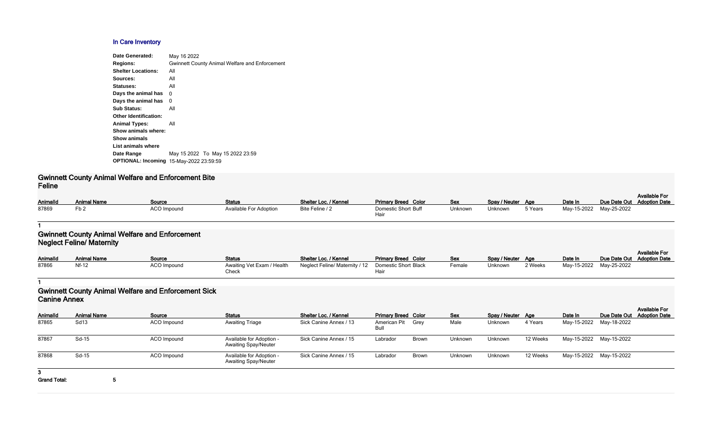# **In Care Inventory**

| Date Generated:              | May 16 2022                                           |
|------------------------------|-------------------------------------------------------|
| <b>Regions:</b>              | <b>Gwinnett County Animal Welfare and Enforcement</b> |
| <b>Shelter Locations:</b>    | All                                                   |
| Sources:                     | All                                                   |
| Statuses:                    | All                                                   |
| Days the animal has          | 0                                                     |
| Days the animal has          | 0                                                     |
| <b>Sub Status:</b>           | All                                                   |
| <b>Other Identification:</b> |                                                       |
| <b>Animal Types:</b>         | All                                                   |
| Show animals where:          |                                                       |
| <b>Show animals</b>          |                                                       |
| List animals where           |                                                       |
| Date Range                   | May 15 2022 To May 15 2022 23:59                      |
| <b>OPTIONAL: Incoming</b>    | 15-May-2022 23:59:59                                  |
|                              |                                                       |

### **Gwinnett County Animal Welfare and Enforcement Bite Feline**

| AnimalId | <b>Animal Name</b> | Source      | <b>Status</b>                 | Shelter Loc. / Kennel | <b>Primary Breed Color</b>  | <b>Sex</b> | Spay / Neuter Age |         | Date In                 | Due Date Out Adoption Date | <b>Available For</b> |
|----------|--------------------|-------------|-------------------------------|-----------------------|-----------------------------|------------|-------------------|---------|-------------------------|----------------------------|----------------------|
| 87869    |                    | ACO Impound | <b>Available For Adoption</b> | Bite Feline / 2       | Domestic Short Buff<br>Hair | Unknown    | Unknown           | 5 Years | May-15-2022 May-25-2022 |                            |                      |

### **1**

## **Gwinnett County Animal Welfare and Enforcement Neglect Feline/ Maternity**

| <b>AnimalId</b> | <b>Animal Name</b> | Source             | <b>Status</b>              | Shelter Loc. / Kennel                                | <b>Primary Breed Color</b> | <u>Sex</u> | Spay / Neuter Age |         | Date In     | Due Date Out |
|-----------------|--------------------|--------------------|----------------------------|------------------------------------------------------|----------------------------|------------|-------------------|---------|-------------|--------------|
| 87866           | Nf-12              | <b>ACO Impound</b> | Awaiting Vet Exam / Health | Neglect Feline/ Maternity / 12  Domestic Short Black |                            | Female     | Unknown           | 2 Weeks | May-15-2022 | May-25-2022  |
|                 |                    |                    | Check                      |                                                      |                            |            |                   |         |             |              |

#### **1**

# **Gwinnett County Animal Welfare and Enforcement Sick Canine Annex**

| Color        | <b>Sex</b> | Spay / Neuter  | Age        | Date In     | Due Date Out | <b>Available For</b><br><b>Adoption Date</b> |
|--------------|------------|----------------|------------|-------------|--------------|----------------------------------------------|
| Black        | Female     | <b>Unknown</b> | 2 Weeks    | May-15-2022 | May-25-2022  |                                              |
|              |            |                |            |             |              |                                              |
| Color        | <b>Sex</b> | Spay / Neuter  | <b>Age</b> | Date In     | Due Date Out | <b>Available For</b><br><b>Adoption Date</b> |
| Grey         | Male       | Unknown        | 4 Years    | May-15-2022 | May-18-2022  |                                              |
| <b>Brown</b> | Unknown    | Unknown        | 12 Weeks   | May-15-2022 | May-15-2022  |                                              |
| Brown        | Unknown    | <b>Unknown</b> | 12 Weeks   | May-15-2022 | May-15-2022  |                                              |

| <b>AnimalId</b>     | <b>Animal Name</b> | Source      | <b>Status</b>                                           | Shelter Loc. / Kennel  | <b>Primary Breed Color</b> |              | <b>Sex</b> | Spay / Neuter Age |          | Date In     | Due Date Out |
|---------------------|--------------------|-------------|---------------------------------------------------------|------------------------|----------------------------|--------------|------------|-------------------|----------|-------------|--------------|
| 87865               | Sd <sub>13</sub>   | ACO Impound | <b>Awaiting Triage</b>                                  | Sick Canine Annex / 13 | American Pit<br>Bull       | Grey         | Male       | Unknown           | 4 Years  | May-15-2022 | May-18-2022  |
| 87867               | Sd-15              | ACO Impound | Available for Adoption -<br><b>Awaiting Spay/Neuter</b> | Sick Canine Annex / 15 | Labrador                   | <b>Brown</b> | Unknown    | Unknown           | 12 Weeks | May-15-2022 | May-15-2022  |
| 87868               | Sd-15              | ACO Impound | Available for Adoption -<br><b>Awaiting Spay/Neuter</b> | Sick Canine Annex / 15 | Labrador                   | <b>Brown</b> | Unknown    | Unknown           | 12 Weeks | May-15-2022 | May-15-2022  |
| 3.                  |                    |             |                                                         |                        |                            |              |            |                   |          |             |              |
| <b>Grand Total:</b> |                    |             |                                                         |                        |                            |              |            |                   |          |             |              |